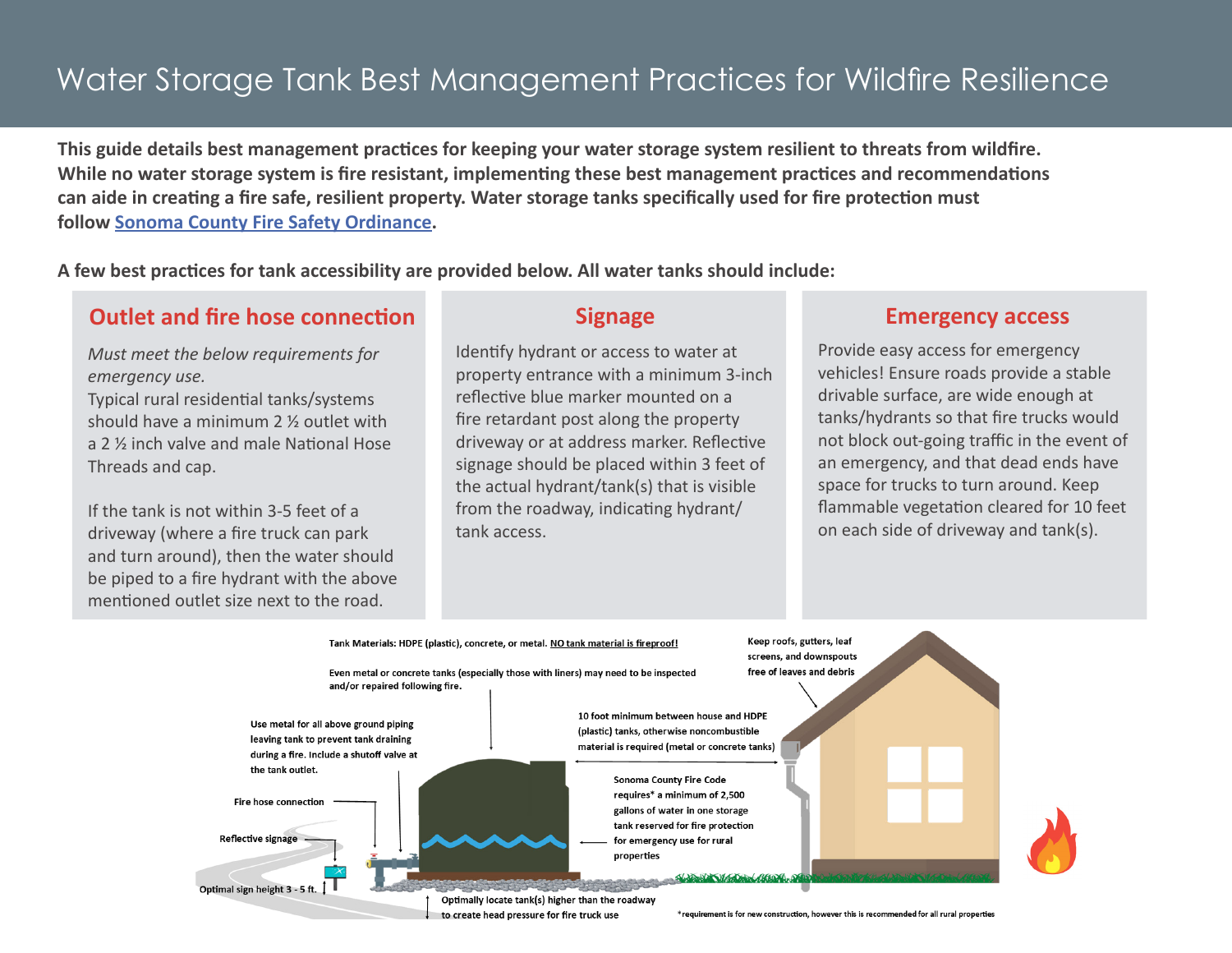## Water Storage Tank Best Management Practices for Wildfire Resilience

**This guide details best management practices for keeping your water storage system resilient to threats from wildfire. While no water storage system is fire resistant, implementing these best management practices and recommendations can aide in creating a fire safe, resilient property. Water storage tanks specifically used for fire protection must follow [Sonoma County Fire Safety Ordinance.](https://permitsonoma.org/divisions/firepreventionandhazmat/countyfirecode)** 

**A few best practices for tank accessibility are provided below. All water tanks should include:**

## **Outlet and fire hose connection Signage Emergency access**

*Must meet the below requirements for emergency use.*

Typical rural residential tanks/systems should have a minimum 2 ½ outlet with a 2 ½ inch valve and male National Hose Threads and cap.

If the tank is not within 3-5 feet of a driveway (where a fire truck can park and turn around), then the water should be piped to a fire hydrant with the above mentioned outlet size next to the road.

Identify hydrant or access to water at property entrance with a minimum 3-inch reflective blue marker mounted on a fire retardant post along the property driveway or at address marker. Reflective signage should be placed within 3 feet of the actual hydrant/tank(s) that is visible from the roadway, indicating hydrant/ tank access.

Provide easy access for emergency vehicles! Ensure roads provide a stable drivable surface, are wide enough at tanks/hydrants so that fire trucks would not block out-going traffic in the event of an emergency, and that dead ends have space for trucks to turn around. Keep flammable vegetation cleared for 10 feet on each side of driveway and tank(s).